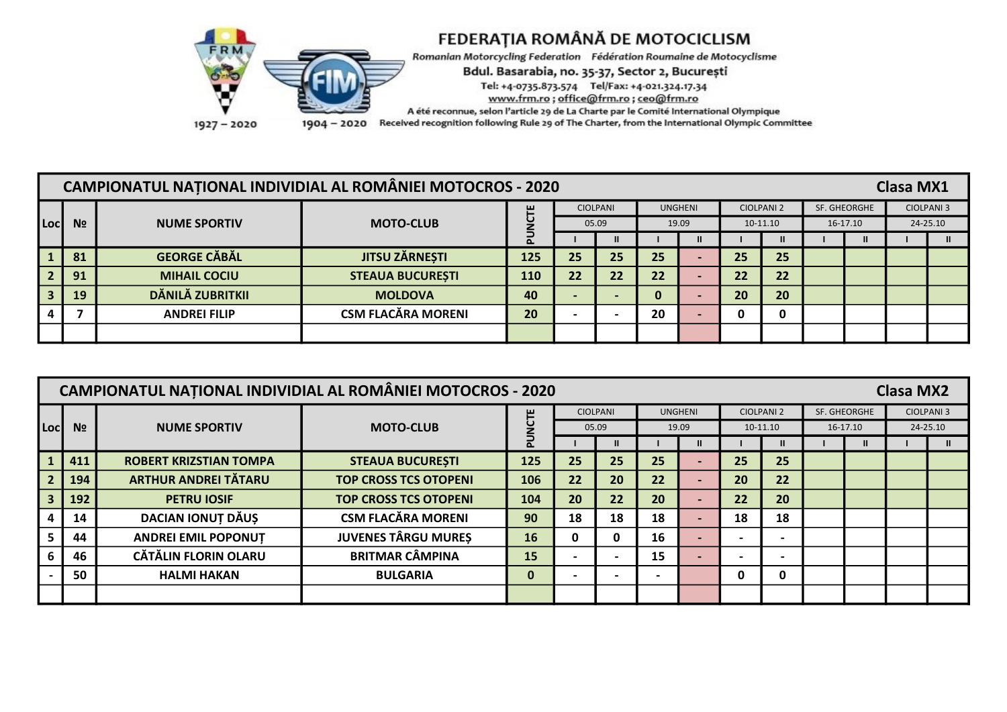

Romanian Motorcycling Federation Fédération Roumaine de Motocyclisme

Bdul. Basarabia, no. 35-37, Sector 2, București

Tel: +4-0735.873.574 Tel/Fax: +4-021.324.17.34

www.frm.ro; office@frm.ro; ceo@frm.ro

A été reconnue, selon l'article 29 de La Charte par le Comité International Olympique

1904 - 2020 Received recognition following Rule 29 of The Charter, from the International Olympic Committee

|      |                |                     | <b>CAMPIONATUL NATIONAL INDIVIDIAL AL ROMÂNIEI MOTOCROS - 2020</b> |          |                 |                          |    |                |          |                   |              | <b>Clasa MX1</b> |                   |
|------|----------------|---------------------|--------------------------------------------------------------------|----------|-----------------|--------------------------|----|----------------|----------|-------------------|--------------|------------------|-------------------|
|      |                |                     |                                                                    | ш        | <b>CIOLPANI</b> |                          |    | <b>UNGHENI</b> |          | <b>CIOLPANI 2</b> | SF. GHEORGHE |                  | <b>CIOLPANI 3</b> |
| Locl | N <sub>2</sub> | <b>NUME SPORTIV</b> | <b>MOTO-CLUB</b>                                                   |          | 05.09           |                          |    | 19.09          | 10-11.10 |                   | 16-17.10     |                  | 24-25.10          |
|      |                |                     |                                                                    | $\Delta$ |                 | Ш                        |    |                |          |                   | $\mathbf{u}$ |                  |                   |
|      | 81             | <b>GEORGE CĂBĂL</b> | <b>JITSU ZÄRNESTI</b>                                              | 125      | 25              | 25                       | 25 |                | 25       | 25                |              |                  |                   |
|      | 91             | <b>MIHAIL COCIU</b> | <b>STEAUA BUCUREȘTI</b>                                            | 110      | 22              | 22                       | 22 |                | 22       | 22                |              |                  |                   |
|      | 19             | DĂNILĂ ZUBRITKII    | <b>MOLDOVA</b>                                                     | 40       |                 | $\overline{\phantom{0}}$ | 0  |                | 20       | 20                |              |                  |                   |
|      |                | <b>ANDREI FILIP</b> | <b>CSM FLACĂRA MORENI</b>                                          | 20       |                 |                          | 20 |                | 0        |                   |              |                  |                   |
|      |                |                     |                                                                    |          |                 |                          |    |                |          |                   |              |                  |                   |

|      |                |                               | <b>CAMPIONATUL NATIONAL INDIVIDIAL AL ROMÂNIEI MOTOCROS - 2020</b> |             |    |                 |    |                |    |                   |              |          | <b>Clasa MX2</b> |                   |
|------|----------------|-------------------------------|--------------------------------------------------------------------|-------------|----|-----------------|----|----------------|----|-------------------|--------------|----------|------------------|-------------------|
|      |                |                               |                                                                    | 뽄           |    | <b>CIOLPANI</b> |    | <b>UNGHENI</b> |    | <b>CIOLPANI 2</b> | SF. GHEORGHE |          |                  | <b>CIOLPANI 3</b> |
| Locl | N <sub>2</sub> | <b>NUME SPORTIV</b>           | <b>MOTO-CLUB</b>                                                   |             |    | 05.09           |    | 19.09          |    | 10-11.10          |              | 16-17.10 |                  | 24-25.10          |
|      |                |                               |                                                                    |             |    |                 |    |                |    |                   |              |          |                  |                   |
|      | 411            | <b>ROBERT KRIZSTIAN TOMPA</b> | <b>STEAUA BUCURESTI</b>                                            | 125         | 25 | 25              | 25 |                | 25 | 25                |              |          |                  |                   |
|      | 194            | <b>ARTHUR ANDREI TĂTARU</b>   | <b>TOP CROSS TCS OTOPENI</b>                                       | 106         | 22 | 20              | 22 |                | 20 | 22                |              |          |                  |                   |
|      | 192            | <b>PETRU IOSIF</b>            | <b>TOP CROSS TCS OTOPENI</b>                                       | 104         | 20 | 22              | 20 |                | 22 | 20                |              |          |                  |                   |
|      | 14             | DACIAN IONUȚ DĂUȘ             | <b>CSM FLACĂRA MORENI</b>                                          | 90          | 18 | 18              | 18 |                | 18 | 18                |              |          |                  |                   |
|      | 44             | <b>ANDREI EMIL POPONUT</b>    | <b>JUVENES TÂRGU MURES</b>                                         | 16          | 0  |                 | 16 |                |    |                   |              |          |                  |                   |
|      | 46             | <b>CĂTĂLIN FLORIN OLARU</b>   | <b>BRITMAR CÂMPINA</b>                                             | 15          |    |                 | 15 |                |    |                   |              |          |                  |                   |
|      | 50             | <b>HALMI HAKAN</b>            | <b>BULGARIA</b>                                                    | $\mathbf 0$ |    |                 |    |                | 0  | 0                 |              |          |                  |                   |
|      |                |                               |                                                                    |             |    |                 |    |                |    |                   |              |          |                  |                   |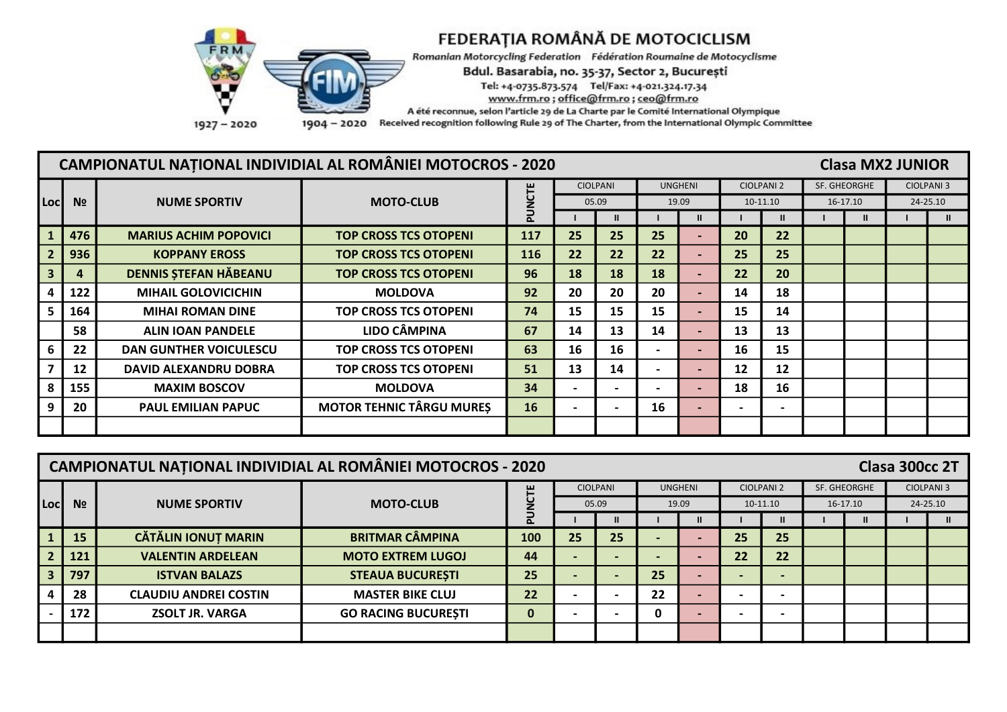

Romanian Motorcycling Federation Fédération Roumaine de Motocyclisme

Bdul. Basarabia, no. 35-37, Sector 2, București

Tel: +4-0735.873.574 Tel/Fax: +4-021.324.17.34

www.frm.ro; office@frm.ro; ceo@frm.ro

A été reconnue, selon l'article 29 de La Charte par le Comité International Olympique

1904 - 2020 Received recognition following Rule 29 of The Charter, from the International Olympic Committee

|      |                | <b>CAMPIONATUL NATIONAL INDIVIDIAL AL ROMÂNIEI MOTOCROS - 2020</b> |                                 |     |    |                          |    |                |                |                   |              | <b>Clasa MX2 JUNIOR</b> |                   |
|------|----------------|--------------------------------------------------------------------|---------------------------------|-----|----|--------------------------|----|----------------|----------------|-------------------|--------------|-------------------------|-------------------|
|      |                |                                                                    |                                 | Ë   |    | <b>CIOLPANI</b>          |    | <b>UNGHENI</b> |                | <b>CIOLPANI 2</b> | SF. GHEORGHE |                         | <b>CIOLPANI 3</b> |
| Locl | N <sub>2</sub> | <b>NUME SPORTIV</b>                                                | <b>MOTO-CLUB</b>                | ⋾   |    | 05.09                    |    | 19.09          |                | 10-11.10          |              | 16-17.10                | 24-25.10          |
|      |                |                                                                    |                                 |     |    |                          |    | $\mathbf{II}$  |                |                   |              |                         | $\mathbf{II}$     |
|      | 476            | <b>MARIUS ACHIM POPOVICI</b>                                       | <b>TOP CROSS TCS OTOPENI</b>    | 117 | 25 | 25                       | 25 |                | 20             | 22                |              |                         |                   |
|      | 936            | <b>KOPPANY EROSS</b>                                               | <b>TOP CROSS TCS OTOPENI</b>    | 116 | 22 | 22                       | 22 |                | 25             | 25                |              |                         |                   |
|      | 4              | <b>DENNIS ȘTEFAN HĂBEANU</b>                                       | <b>TOP CROSS TCS OTOPENI</b>    | 96  | 18 | 18                       | 18 |                | 22             | 20                |              |                         |                   |
|      | 122            | <b>MIHAIL GOLOVICICHIN</b>                                         | <b>MOLDOVA</b>                  | 92  | 20 | 20                       | 20 |                | 14             | 18                |              |                         |                   |
|      | 164            | <b>MIHAI ROMAN DINE</b>                                            | <b>TOP CROSS TCS OTOPENI</b>    | 74  | 15 | 15                       | 15 |                | 15             | 14                |              |                         |                   |
|      | 58             | <b>ALIN JOAN PANDELE</b>                                           | <b>LIDO CÂMPINA</b>             | 67  | 14 | 13                       | 14 |                | 13             | 13                |              |                         |                   |
|      | 22             | <b>DAN GUNTHER VOICULESCU</b>                                      | <b>TOP CROSS TCS OTOPENI</b>    | 63  | 16 | 16                       |    | $\blacksquare$ | 16             | 15                |              |                         |                   |
|      | 12             | <b>DAVID ALEXANDRU DOBRA</b>                                       | <b>TOP CROSS TCS OTOPENI</b>    | 51  | 13 | 14                       |    | $\blacksquare$ | 12             | 12                |              |                         |                   |
|      | 155            | <b>MAXIM BOSCOV</b>                                                | <b>MOLDOVA</b>                  | 34  |    | $\overline{\phantom{0}}$ |    |                | 18             | 16                |              |                         |                   |
|      | 20             | <b>PAUL EMILIAN PAPUC</b>                                          | <b>MOTOR TEHNIC TÂRGU MURES</b> | 16  |    | $\overline{\phantom{0}}$ | 16 | $\blacksquare$ | $\blacksquare$ |                   |              |                         |                   |
|      |                |                                                                    |                                 |     |    |                          |    |                |                |                   |              |                         |                   |

|      |                | <b>CAMPIONATUL NATIONAL INDIVIDIAL AL ROMÂNIEI MOTOCROS - 2020</b> |                            |             |    |                          |    |                          |                          |                   |              | Clasa 300cc 2T |                   |
|------|----------------|--------------------------------------------------------------------|----------------------------|-------------|----|--------------------------|----|--------------------------|--------------------------|-------------------|--------------|----------------|-------------------|
|      |                |                                                                    |                            | ۳           |    | <b>CIOLPANI</b>          |    | <b>UNGHENI</b>           |                          | <b>CIOLPANI 2</b> | SF. GHEORGHE |                | <b>CIOLPANI 3</b> |
| Locl | N <sub>2</sub> | <b>NUME SPORTIV</b>                                                | <b>MOTO-CLUB</b>           |             |    | 05.09                    |    | 19.09                    |                          | 10-11.10          | 16-17.10     |                | 24-25.10          |
|      |                |                                                                    |                            | n           |    |                          |    |                          |                          |                   | ш            |                | ш                 |
|      | 15             | <b>CĂTĂLIN IONUȚ MARIN</b>                                         | <b>BRITMAR CÂMPINA</b>     | 100         | 25 | 25                       |    |                          | 25                       | 25                |              |                |                   |
|      | 121            | <b>VALENTIN ARDELEAN</b>                                           | <b>MOTO EXTREM LUGOJ</b>   | 44          |    | $\overline{\phantom{0}}$ |    |                          | 22                       | 22                |              |                |                   |
|      | 797            | <b>ISTVAN BALAZS</b>                                               | <b>STEAUA BUCURESTI</b>    | 25          |    | $\blacksquare$           | 25 |                          | $\blacksquare$           |                   |              |                |                   |
|      | 28             | <b>CLAUDIU ANDREI COSTIN</b>                                       | <b>MASTER BIKE CLUJ</b>    | 22          |    | $\blacksquare$           | 22 | $\overline{\phantom{0}}$ | $\overline{\phantom{0}}$ |                   |              |                |                   |
|      | 172            | <b>ZSOLT JR. VARGA</b>                                             | <b>GO RACING BUCURESTI</b> | $\mathbf 0$ |    | $\overline{\phantom{0}}$ | 0  |                          | $\overline{\phantom{0}}$ |                   |              |                |                   |
|      |                |                                                                    |                            |             |    |                          |    |                          |                          |                   |              |                |                   |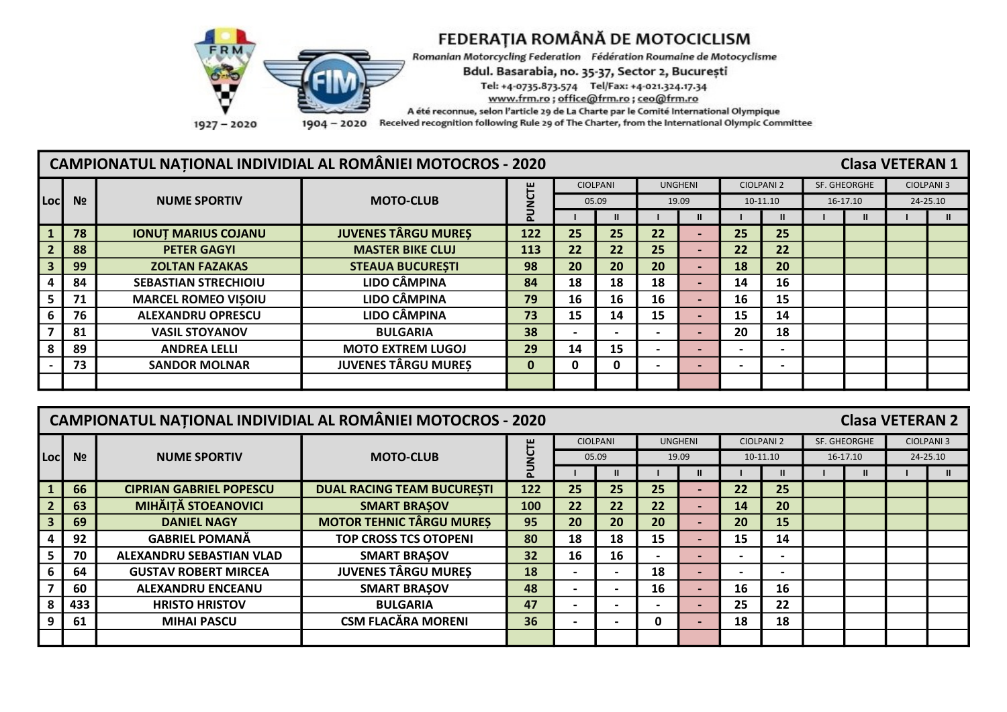

Romanian Motorcycling Federation Fédération Roumaine de Motocyclisme

Bdul. Basarabia, no. 35-37, Sector 2, București

Tel: +4-0735.873.574 Tel/Fax: +4-021.324.17.34

www.frm.ro; office@frm.ro; ceo@frm.ro

A été reconnue, selon l'article 29 de La Charte par le Comité International Olympique

1904 - 2020 Received recognition following Rule 29 of The Charter, from the International Olympic Committee

### **CAMPIONATUL NATIONAL INDIVIDIAL AL ROMÂNIEI MOTOCROS - 2020 Clasa VETERAN 1** PUNCTE **CIOLPANI UNGHENI CIOLPANI 2** SF. GHEORGHE **CIOLPANI 3**  $N<sub>2</sub>$ **NUME SPORTIV MOTO-CLUB** 05.09 19.09 10-11.10 16-17.10 24-25.10 Locl  $\overline{\mathbf{u}}$  $\mathbf{u}$  $\mathbf{u}$  $\mathbf{H}$  $\blacksquare$  $\mathbf{H}$  $\blacksquare$  $\mathbf{I}$  $\mathbf{I}$  $\blacksquare$ **JUVENES TÂRGU MURES**  $\overline{122}$  $\overline{22}$  $\overline{25}$ 78 **IONUT MARIUS COJANU**  $\overline{25}$  $\overline{25}$  $\overline{25}$  $\mathbf{1}$  $\omega$  $\overline{88}$ **PETER GAGYI**  $\overline{22}$  $\overline{22}$  $\overline{25}$  $\overline{22}$  $\overline{2}$ **MASTER BIKE CLUJ** 113  $22$  $\mathcal{L}$  $\overline{99}$  $\overline{20}$  $\overline{20}$  $\overline{20}$  $\overline{20}$ **ZOLTAN FAZAKAS** 18  $\overline{\mathbf{3}}$ **STEAUA BUCURESTI** 98  $\sim$  $\overline{4}$ 84 **SEBASTIAN STRECHIOIU LIDO CÂMPINA** 84  $\overline{18}$ **18**  $\overline{18}$  $\overline{14}$  $16$ ÷. 5 71 **LIDO CÂMPINA** 79 16 **MARCEL ROMEO VISOIU** 16 16 16 15  $\sim$  $6\phantom{1}6$ 76 **LIDO CÂMPINA** 73 15 14 15 15 **ALEXANDRU OPRESCU** 14  $\sim$  $\overline{7}$ 81 **VASIL STOYANOV BULGARIA** 38 20 18  $\overline{a}$  $\overline{a}$  $\overline{a}$  $\blacksquare$  $\overline{89}$  $\overline{29}$ **MOTO EXTREM LUGOJ** 14 15 8 **ANDREA LELLI**  $\mathbb{Z}^{\mathbb{Z}}$ ÷.  $\mathbb{Z}^2$  $\mathbb{L}$ **JUVENES TÂRGU MURES**  $\overline{73}$ **SANDOR MOLNAR**  $\overline{0}$  $\overline{0}$  $\overline{0}$  $\mathbf{r}$  $\overline{\phantom{a}}$  $\mathbf{r}$ ÷.  $\sim$

|      |                | <b>CAMPIONATUL NATIONAL INDIVIDIAL AL ROMÂNIEI MOTOCROS - 2020</b> |                                   |     |    |                          |    |                          |    |                   | <b>Clasa VETERAN 2</b> |          |                   |
|------|----------------|--------------------------------------------------------------------|-----------------------------------|-----|----|--------------------------|----|--------------------------|----|-------------------|------------------------|----------|-------------------|
|      |                |                                                                    |                                   | 出口  |    | <b>CIOLPANI</b>          |    | <b>UNGHENI</b>           |    | <b>CIOLPANI 2</b> | SF. GHEORGHE           |          | <b>CIOLPANI 3</b> |
| Locl | N <sub>2</sub> | <b>NUME SPORTIV</b>                                                | <b>MOTO-CLUB</b>                  |     |    | 05.09                    |    | 19.09                    |    | 10-11.10          | 16-17.10               | 24-25.10 |                   |
|      |                |                                                                    |                                   |     |    |                          |    | $\mathbf{II}$            |    | ш                 |                        |          | $\mathbf{u}$      |
|      | 66             | <b>CIPRIAN GABRIEL POPESCU</b>                                     | <b>DUAL RACING TEAM BUCURESTI</b> | 122 | 25 | 25                       | 25 |                          | 22 | 25                |                        |          |                   |
|      | 63             | <b>MIHĂIȚĂ STOEANOVICI</b>                                         | <b>SMART BRASOV</b>               | 100 | 22 | 22                       | 22 |                          | 14 | 20                |                        |          |                   |
|      | 69             | <b>DANIEL NAGY</b>                                                 | <b>MOTOR TEHNIC TÂRGU MURES</b>   | 95  | 20 | 20                       | 20 |                          | 20 | 15                |                        |          |                   |
|      | 92             | <b>GABRIEL POMANĂ</b>                                              | <b>TOP CROSS TCS OTOPENI</b>      | 80  | 18 | 18                       | 15 |                          | 15 | 14                |                        |          |                   |
|      | 70             | ALEXANDRU SEBASTIAN VLAD                                           | <b>SMART BRASOV</b>               | 32  | 16 | 16                       |    | $\overline{\phantom{0}}$ |    |                   |                        |          |                   |
|      | 64             | <b>GUSTAV ROBERT MIRCEA</b>                                        | <b>JUVENES TÂRGU MURES</b>        | 18  |    | $\overline{\phantom{0}}$ | 18 |                          |    |                   |                        |          |                   |
|      | 60             | <b>ALEXANDRU ENCEANU</b>                                           | <b>SMART BRASOV</b>               | 48  |    | $\overline{\phantom{0}}$ | 16 |                          | 16 | 16                |                        |          |                   |
|      | 433            | <b>HRISTO HRISTOV</b>                                              | <b>BULGARIA</b>                   | 47  |    | $\overline{\phantom{0}}$ |    |                          | 25 | 22                |                        |          |                   |
|      | 61             | <b>MIHAI PASCU</b>                                                 | <b>CSM FLACĂRA MORENI</b>         | 36  |    |                          | 0  |                          | 18 | 18                |                        |          |                   |
|      |                |                                                                    |                                   |     |    |                          |    |                          |    |                   |                        |          |                   |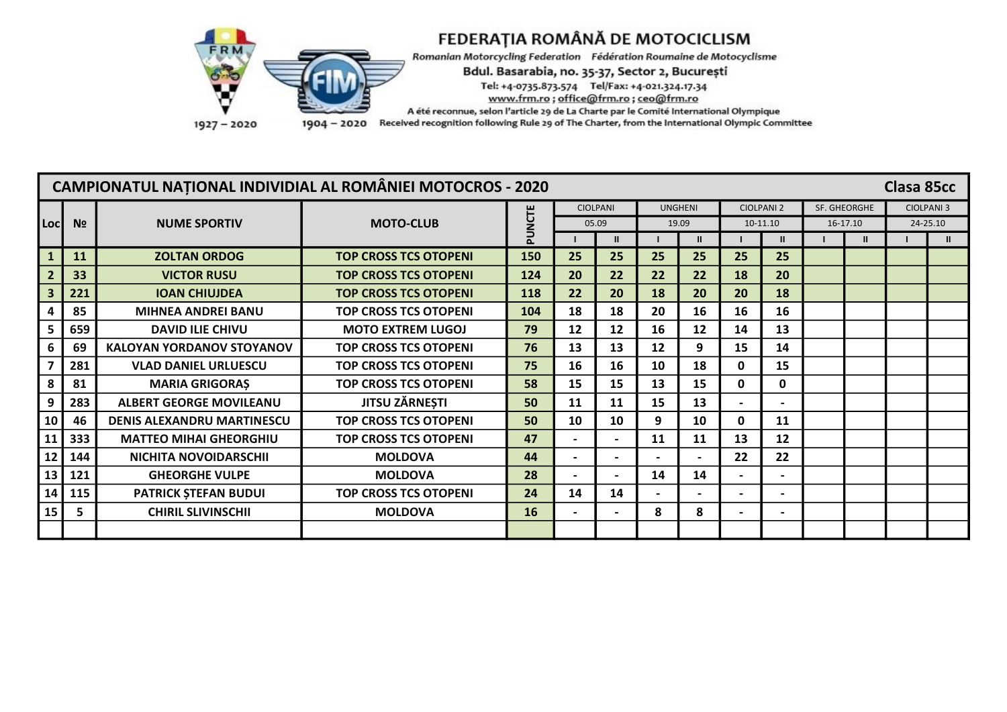

Romanian Motorcycling Federation Fédération Roumaine de Motocyclisme

Bdul. Basarabia, no. 35-37, Sector 2, București

Tel: +4-0735.873.574 Tel/Fax: +4-021.324.17.34

www.frm.ro; office@frm.ro; ceo@frm.ro

A été reconnue, selon l'article 29 de La Charte par le Comité International Olympique

1904 - 2020 Received recognition following Rule 29 of The Charter, from the International Olympic Committee

|                |                |                                   | <b>CAMPIONATUL NATIONAL INDIVIDIAL AL ROMÂNIEI MOTOCROS - 2020</b> |        |                 |                          |                   |              |                          |              |                     | Clasa 85cc       |               |
|----------------|----------------|-----------------------------------|--------------------------------------------------------------------|--------|-----------------|--------------------------|-------------------|--------------|--------------------------|--------------|---------------------|------------------|---------------|
|                |                |                                   |                                                                    |        | <b>CIOLPANI</b> |                          | <b>UNGHENI</b>    |              | <b>CIOLPANI 2</b>        |              | <b>SF. GHEORGHE</b> | <b>CIOLPANI3</b> |               |
| Locl           | N <sub>2</sub> | <b>NUME SPORTIV</b>               | <b>MOTO-CLUB</b>                                                   | PUNCTE | 05.09           |                          |                   | 19.09        |                          | 10-11.10     | 16-17.10            |                  | 24-25.10      |
|                |                |                                   |                                                                    |        |                 | $\mathbf{I}$             |                   | $\mathbf{u}$ |                          | $\mathbf{u}$ |                     |                  | $\mathbf{II}$ |
|                | 11             | <b>ZOLTAN ORDOG</b>               | <b>TOP CROSS TCS OTOPENI</b>                                       | 150    | 25              | 25                       | 25                | 25           | 25                       | 25           |                     |                  |               |
| $\overline{2}$ | 33             | <b>VICTOR RUSU</b>                | <b>TOP CROSS TCS OTOPENI</b>                                       | 124    | 20              | 22                       | 22                | 22           | 18                       | 20           |                     |                  |               |
|                | 221            | <b>IOAN CHIUJDEA</b>              | <b>TOP CROSS TCS OTOPENI</b>                                       | 118    | 22              | 20                       | 18                | 20           | 20                       | 18           |                     |                  |               |
|                | 85             | <b>MIHNEA ANDREI BANU</b>         | <b>TOP CROSS TCS OTOPENI</b>                                       | 104    | 18              | 18                       | 20                | 16           | 16                       | 16           |                     |                  |               |
|                | 659            | <b>DAVID ILIE CHIVU</b>           | <b>MOTO EXTREM LUGOJ</b>                                           | 79     | 12              | 12                       | 16                | 12           | 14                       | 13           |                     |                  |               |
|                | 69             | <b>KALOYAN YORDANOV STOYANOV</b>  | <b>TOP CROSS TCS OTOPENI</b>                                       | 76     | 13              | 13                       | $12 \overline{ }$ | 9            | 15                       | 14           |                     |                  |               |
|                | 281            | <b>VLAD DANIEL URLUESCU</b>       | <b>TOP CROSS TCS OTOPENI</b>                                       | 75     | 16              | 16                       | 10                | 18           | 0                        | 15           |                     |                  |               |
|                | 81             | <b>MARIA GRIGORAS</b>             | <b>TOP CROSS TCS OTOPENI</b>                                       | 58     | 15              | 15                       | 13                | 15           | 0                        | 0            |                     |                  |               |
|                | 283            | <b>ALBERT GEORGE MOVILEANU</b>    | <b>JITSU ZĂRNEȘTI</b>                                              | 50     | 11              | 11                       | 15                | 13           | $\overline{\phantom{0}}$ |              |                     |                  |               |
| 10             | 46             | <b>DENIS ALEXANDRU MARTINESCU</b> | <b>TOP CROSS TCS OTOPENI</b>                                       | 50     | 10              | 10                       | 9                 | 10           | $\mathbf{0}$             | 11           |                     |                  |               |
| 11             | 333            | <b>MATTEO MIHAI GHEORGHIU</b>     | <b>TOP CROSS TCS OTOPENI</b>                                       | 47     |                 | $\blacksquare$           | 11                | 11           | 13                       | 12           |                     |                  |               |
| 12             | 144            | NICHITA NOVOIDARSCHII             | <b>MOLDOVA</b>                                                     | 44     |                 |                          |                   |              | 22                       | 22           |                     |                  |               |
| 13             | 121            | <b>GHEORGHE VULPE</b>             | <b>MOLDOVA</b>                                                     | 28     |                 | $\overline{\phantom{0}}$ | 14                | 14           | $\overline{\phantom{0}}$ |              |                     |                  |               |
| 14             | 115            | <b>PATRICK STEFAN BUDUI</b>       | <b>TOP CROSS TCS OTOPENI</b>                                       | 24     | 14              | 14                       |                   |              | $\blacksquare$           |              |                     |                  |               |
| 15             | 5              | <b>CHIRIL SLIVINSCHII</b>         | <b>MOLDOVA</b>                                                     | 16     |                 | $\blacksquare$           | 8                 | 8            | $\blacksquare$           |              |                     |                  |               |
|                |                |                                   |                                                                    |        |                 |                          |                   |              |                          |              |                     |                  |               |

1927-2020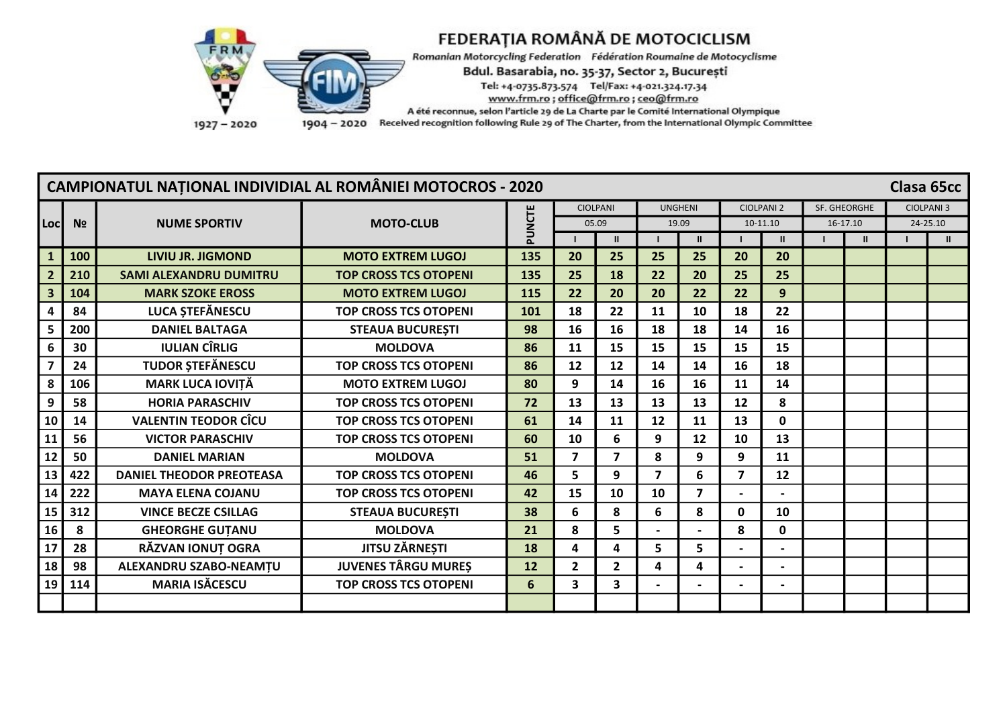

Romanian Motorcycling Federation Fédération Roumaine de Motocyclisme

Bdul. Basarabia, no. 35-37, Sector 2, București

Tel: +4-0735.873.574 Tel/Fax: +4-021.324.17.34

www.frm.ro; office@frm.ro; ceo@frm.ro

A été reconnue, selon l'article 29 de La Charte par le Comité International Olympique

1904 - 2020 Received recognition following Rule 29 of The Charter, from the International Olympic Committee

|                |                |                                 | <b>CAMPIONATUL NATIONAL INDIVIDIAL AL ROMÂNIEI MOTOCROS - 2020</b> |        |                 |                         |                         |                |    |                   |              |              | Clasa 65cc       |  |
|----------------|----------------|---------------------------------|--------------------------------------------------------------------|--------|-----------------|-------------------------|-------------------------|----------------|----|-------------------|--------------|--------------|------------------|--|
|                |                |                                 |                                                                    |        | <b>CIOLPANI</b> |                         | <b>UNGHENI</b>          |                |    | <b>CIOLPANI 2</b> | SF. GHEORGHE |              | <b>CIOLPANI3</b> |  |
| Locl           | N <sub>2</sub> | <b>NUME SPORTIV</b>             | <b>MOTO-CLUB</b>                                                   | PUNCTE | 05.09           |                         | 19.09                   |                |    | 10-11.10          |              | 16-17.10     | 24-25.10         |  |
|                |                |                                 |                                                                    |        |                 | $\mathbf{H}$            |                         |                |    | $\mathbf{u}$      |              | $\mathbf{H}$ |                  |  |
|                | 100            | <b>LIVIU JR. JIGMOND</b>        | <b>MOTO EXTREM LUGOJ</b>                                           | 135    | 20              | 25                      | 25                      | 25             | 20 | 20                |              |              |                  |  |
| $\overline{2}$ | 210            | <b>SAMI ALEXANDRU DUMITRU</b>   | <b>TOP CROSS TCS OTOPENI</b>                                       | 135    | 25              | 18                      | 22                      | 20             | 25 | 25                |              |              |                  |  |
|                | 104            | <b>MARK SZOKE EROSS</b>         | <b>MOTO EXTREM LUGOJ</b>                                           | 115    | 22              | 20                      | 20                      | 22             | 22 | 9                 |              |              |                  |  |
|                | 84             | LUCA ȘTEFĂNESCU                 | <b>TOP CROSS TCS OTOPENI</b>                                       | 101    | 18              | 22                      | 11                      | 10             | 18 | 22                |              |              |                  |  |
|                | 200            | <b>DANIEL BALTAGA</b>           | <b>STEAUA BUCURESTI</b>                                            | 98     | 16              | 16                      | 18                      | 18             | 14 | 16                |              |              |                  |  |
| 6              | 30             | <b>IULIAN CÎRLIG</b>            | <b>MOLDOVA</b>                                                     | 86     | 11              | 15                      | 15                      | 15             | 15 | 15                |              |              |                  |  |
| $\overline{7}$ | 24             | <b>TUDOR ȘTEFĂNESCU</b>         | <b>TOP CROSS TCS OTOPENI</b>                                       | 86     | 12              | 12                      | 14                      | 14             | 16 | 18                |              |              |                  |  |
| 8              | 106            | <b>MARK LUCA IOVITĂ</b>         | <b>MOTO EXTREM LUGOJ</b>                                           | 80     | 9               | 14                      | 16                      | 16             | 11 | 14                |              |              |                  |  |
| 9              | 58             | <b>HORIA PARASCHIV</b>          | <b>TOP CROSS TCS OTOPENI</b>                                       | 72     | 13              | 13                      | 13                      | 13             | 12 | 8                 |              |              |                  |  |
| 10             | 14             | <b>VALENTIN TEODOR CÎCU</b>     | <b>TOP CROSS TCS OTOPENI</b>                                       | 61     | 14              | 11                      | 12                      | 11             | 13 | 0                 |              |              |                  |  |
| 11             | 56             | <b>VICTOR PARASCHIV</b>         | <b>TOP CROSS TCS OTOPENI</b>                                       | 60     | 10              | 6                       | 9                       | 12             | 10 | 13                |              |              |                  |  |
| 12             | 50             | <b>DANIEL MARIAN</b>            | <b>MOLDOVA</b>                                                     | 51     | $\overline{7}$  | $\overline{\mathbf{z}}$ | 8                       | 9              | 9  | 11                |              |              |                  |  |
| 13             | 422            | <b>DANIEL THEODOR PREOTEASA</b> | <b>TOP CROSS TCS OTOPENI</b>                                       | 46     | 5               | 9                       | $\overline{\mathbf{z}}$ | 6              | 7  | 12                |              |              |                  |  |
| 14             | 222            | <b>MAYA ELENA COJANU</b>        | <b>TOP CROSS TCS OTOPENI</b>                                       | 42     | 15              | 10                      | 10                      | $\overline{7}$ |    |                   |              |              |                  |  |
| 15             | 312            | <b>VINCE BECZE CSILLAG</b>      | <b>STEAUA BUCUREȘTI</b>                                            | 38     | 6               | 8                       | 6                       | 8              | 0  | 10                |              |              |                  |  |
| 16             | 8              | <b>GHEORGHE GUTANU</b>          | <b>MOLDOVA</b>                                                     | 21     | 8               | 5                       |                         |                | 8  | 0                 |              |              |                  |  |
| 17             | 28             | RĂZVAN IONUȚ OGRA               | <b>JITSU ZĂRNEȘTI</b>                                              | 18     | 4               | 4                       | 5                       | 5              |    |                   |              |              |                  |  |
| 18             | 98             | ALEXANDRU SZABO-NEAMȚU          | <b>JUVENES TÂRGU MUREȘ</b>                                         | 12     | $\mathbf{2}$    | $\overline{2}$          | 4                       | 4              |    |                   |              |              |                  |  |
| 19             | 114            | <b>MARIA ISĂCESCU</b>           | <b>TOP CROSS TCS OTOPENI</b>                                       | 6      | 3               | 3                       |                         |                |    |                   |              |              |                  |  |
|                |                |                                 |                                                                    |        |                 |                         |                         |                |    |                   |              |              |                  |  |

1927-2020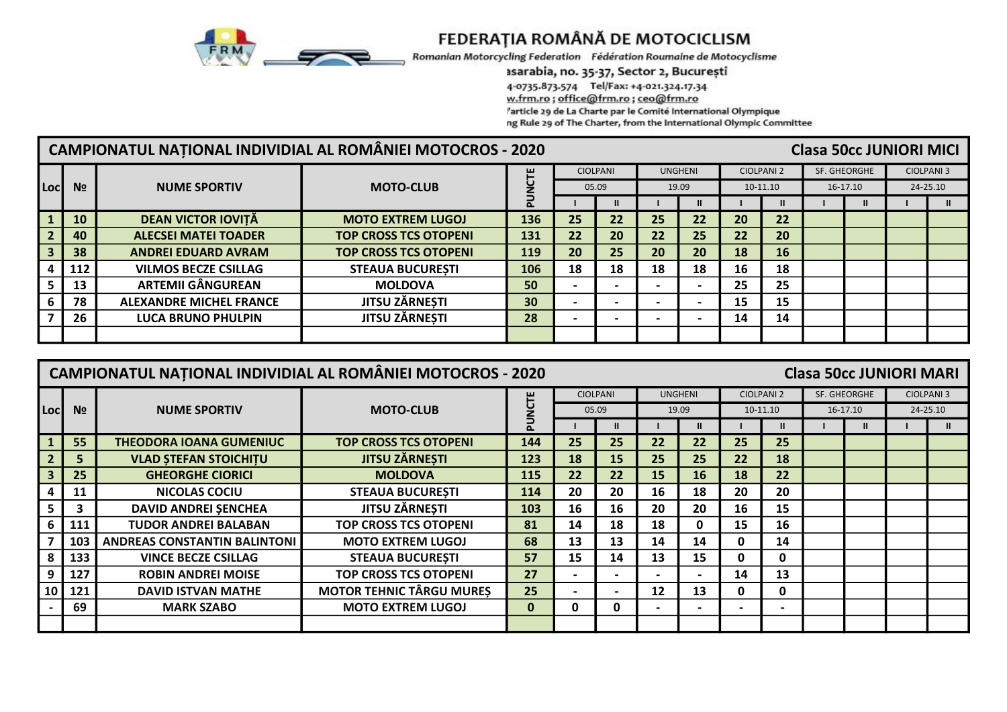

Romanian Motorcycling Federation Fédération Roumaine de Motocyclisme

### asarabia, no. 35-37, Sector 2, București

4-0735.873.574 Tel/Fax: +4-021.324.17.34

w.frm.ro; office@frm.ro; ceo@frm.ro

'article 29 de La Charte par le Comité International Olympique

ng Rule 29 of The Charter, from the International Olympic Committee

|                |                |                                | CAMPIONATUL NATIONAL INDIVIDIAL AL ROMÂNIEI MOTOCROS - 2020 |                 |    |                 |    |                |    |                   | <b>Clasa 50cc JUNIORI MICI</b> |          |                   |
|----------------|----------------|--------------------------------|-------------------------------------------------------------|-----------------|----|-----------------|----|----------------|----|-------------------|--------------------------------|----------|-------------------|
|                |                |                                |                                                             | ۳               |    | <b>CIOLPANI</b> |    | <b>UNGHENI</b> |    | <b>CIOLPANI 2</b> | SF. GHEORGHE                   |          | <b>CIOLPANI 3</b> |
| Locl           | N <sub>2</sub> | <b>NUME SPORTIV</b>            | <b>MOTO-CLUB</b>                                            |                 |    | 05.09           |    | 19.09          |    | 10-11.10          |                                | 16-17.10 | 24-25.10          |
|                |                |                                |                                                             |                 |    |                 |    |                |    | $\mathbf{u}$      |                                |          |                   |
|                | <b>10</b>      | <b>DEAN VICTOR IOVITĂ</b>      | <b>MOTO EXTREM LUGOJ</b>                                    | 136             | 25 | 22              | 25 | 22             | 20 | 22                |                                |          |                   |
| $\overline{2}$ | 40             | <b>ALECSEI MATEI TOADER</b>    | <b>TOP CROSS TCS OTOPENI</b>                                | 131             | 22 | 20              | 22 | 25             | 22 | 20                |                                |          |                   |
|                | 38             | <b>ANDREI EDUARD AVRAM</b>     | <b>TOP CROSS TCS OTOPENI</b>                                | 119             | 20 | 25              | 20 | 20             | 18 | <b>16</b>         |                                |          |                   |
|                | 112            | <b>VILMOS BECZE CSILLAG</b>    | <b>STEAUA BUCURESTI</b>                                     | 106             | 18 | 18              | 18 | 18             | 16 | 18                |                                |          |                   |
|                | 13             | <b>ARTEMII GÂNGUREAN</b>       | <b>MOLDOVA</b>                                              | 50              |    |                 |    |                | 25 | 25                |                                |          |                   |
|                | 78             | <b>ALEXANDRE MICHEL FRANCE</b> | <b>JITSU ZĂRNEȘTI</b>                                       | 30 <sup>°</sup> |    |                 |    |                | 15 | 15                |                                |          |                   |
|                | 26             | <b>LUCA BRUNO PHULPIN</b>      | <b>JITSU ZĂRNEȘTI</b>                                       | 28              |    |                 |    |                | 14 | 14                |                                |          |                   |
|                |                |                                |                                                             |                 |    |                 |    |                |    |                   |                                |          |                   |

|                 |                | CAMPIONATUL NAȚIONAL INDIVIDIAL AL ROMÂNIEI MOTOCROS - 2020 |                                 |         |                          |                          |                |                          |                |                   | <b>Clasa 50cc JUNIORI MARI</b> |              |                   |
|-----------------|----------------|-------------------------------------------------------------|---------------------------------|---------|--------------------------|--------------------------|----------------|--------------------------|----------------|-------------------|--------------------------------|--------------|-------------------|
|                 |                |                                                             |                                 |         |                          | <b>CIOLPANI</b>          | <b>UNGHENI</b> |                          |                | <b>CIOLPANI 2</b> |                                | SF. GHEORGHE | <b>CIOLPANI 3</b> |
| Locl            | N <sub>2</sub> | <b>NUME SPORTIV</b>                                         | <b>MOTO-CLUB</b>                | U<br>NU |                          | 05.09                    |                | 19.09                    |                | 10-11.10          |                                | $16-17.10$   | 24-25.10          |
|                 |                |                                                             |                                 |         |                          | $\mathbf{u}$             |                | $\mathbf{I}$             |                |                   |                                | $\mathbf{I}$ | $\mathbf{u}$      |
|                 | 55             | <b>THEODORA IOANA GUMENIUC</b>                              | <b>TOP CROSS TCS OTOPENI</b>    | 144     | 25                       | 25                       | 22             | 22                       | 25             | 25                |                                |              |                   |
|                 | 5              | <b>VLAD STEFAN STOICHITU</b>                                | <b>JITSU ZÄRNESTI</b>           | 123     | 18                       | 15                       | 25             | 25                       | 22             | 18                |                                |              |                   |
|                 | 25             | <b>GHEORGHE CIORICI</b>                                     | <b>MOLDOVA</b>                  | 115     | 22                       | 22                       | 15             | 16                       | 18             | 22                |                                |              |                   |
|                 | 11             | NICOLAS COCIU                                               | <b>STEAUA BUCURESTI</b>         | 114     | 20                       | 20                       | 16             | 18                       | 20             | 20                |                                |              |                   |
|                 | 3              | <b>DAVID ANDREI SENCHEA</b>                                 | <b>JITSU ZĂRNEȘTI</b>           | 103     | 16                       | 16                       | 20             | 20                       | 16             | 15                |                                |              |                   |
|                 | 111            | <b>TUDOR ANDREI BALABAN</b>                                 | <b>TOP CROSS TCS OTOPENI</b>    | 81      | 14                       | 18                       | 18             | 0                        | 15             | 16                |                                |              |                   |
|                 | 103            | <b>ANDREAS CONSTANTIN BALINTONI</b>                         | <b>MOTO EXTREM LUGOJ</b>        | 68      | 13                       | 13                       | 14             | 14                       | 0              | 14                |                                |              |                   |
|                 | 133            | <b>VINCE BECZE CSILLAG</b>                                  | <b>STEAUA BUCURESTI</b>         | 57      | 15                       | 14                       | 13             | 15                       | $\mathbf{0}$   | $\mathbf{0}$      |                                |              |                   |
| 9               | 127            | <b>ROBIN ANDREI MOISE</b>                                   | <b>TOP CROSS TCS OTOPENI</b>    | 27      |                          | -                        |                |                          | 14             | 13                |                                |              |                   |
| 10 <sub>1</sub> | 121            | <b>DAVID ISTVAN MATHE</b>                                   | <b>MOTOR TEHNIC TÂRGU MURES</b> | 25      | $\overline{\phantom{0}}$ | $\overline{\phantom{0}}$ | 12             | 13                       | 0              | $\mathbf 0$       |                                |              |                   |
|                 | 69             | <b>MARK SZABO</b>                                           | <b>MOTO EXTREM LUGOJ</b>        | 0       | 0                        | 0                        |                | $\overline{\phantom{0}}$ | $\blacksquare$ |                   |                                |              |                   |
|                 |                |                                                             |                                 |         |                          |                          |                |                          |                |                   |                                |              |                   |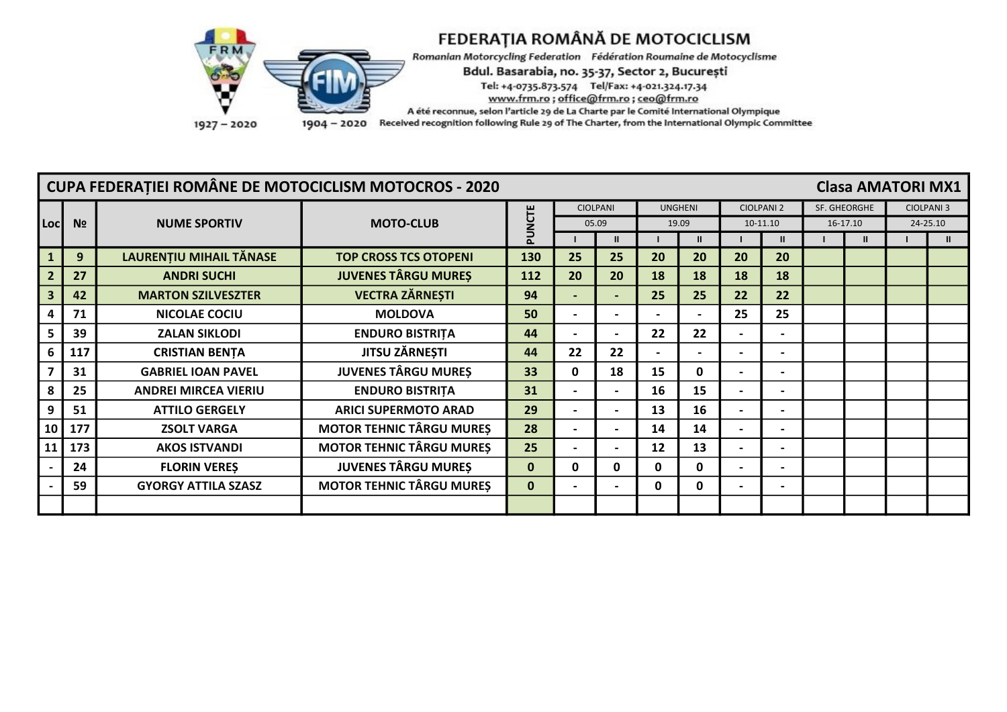

Romanian Motorcycling Federation Fédération Roumaine de Motocyclisme

Bdul. Basarabia, no. 35-37, Sector 2, București

Tel: +4-0735.873.574 Tel/Fax: +4-021.324.17.34

www.frm.ro; office@frm.ro; ceo@frm.ro

A été reconnue, selon l'article 29 de La Charte par le Comité International Olympique

1904 - 2020 Received recognition following Rule 29 of The Charter, from the International Olympic Committee

|                         |                | <b>CUPA FEDERATIEI ROMÂNE DE MOTOCICLISM MOTOCROS - 2020</b> |                                 |              |                 |                          |                |              |                              |                   |          |              | <b>Clasa AMATORI MX1</b> |  |
|-------------------------|----------------|--------------------------------------------------------------|---------------------------------|--------------|-----------------|--------------------------|----------------|--------------|------------------------------|-------------------|----------|--------------|--------------------------|--|
|                         |                |                                                              |                                 | CΤΕ          | <b>CIOLPANI</b> |                          | <b>UNGHENI</b> |              |                              | <b>CIOLPANI 2</b> |          | SF. GHEORGHE | <b>CIOLPANI 3</b>        |  |
| Locl                    | N <sub>2</sub> | <b>NUME SPORTIV</b>                                          | <b>MOTO-CLUB</b>                | ž            | 05.09           |                          | 19.09          |              |                              | 10-11.10          | 16-17.10 |              | 24-25.10                 |  |
|                         |                |                                                              |                                 | 훈            |                 | $\mathbf{u}$             |                |              |                              | Ш                 |          | $\mathbf{u}$ |                          |  |
|                         | 9              | LAURENTIU MIHAIL TĂNASE                                      | <b>TOP CROSS TCS OTOPENI</b>    | 130          | 25              | 25                       | 20             | 20           | 20                           | 20                |          |              |                          |  |
| $\overline{2}$          | 27             | <b>ANDRI SUCHI</b>                                           | <b>JUVENES TÂRGU MUREȘ</b>      | 112          | 20              | 20                       | 18             | 18           | 18                           | 18                |          |              |                          |  |
| $\overline{\mathbf{3}}$ | 42             | <b>MARTON SZILVESZTER</b>                                    | <b>VECTRA ZĂRNEȘTI</b>          | 94           |                 | $\overline{\phantom{0}}$ | 25             | 25           | 22                           | 22                |          |              |                          |  |
| 4                       | 71             | <b>NICOLAE COCIU</b>                                         | <b>MOLDOVA</b>                  | 50           |                 |                          |                |              | 25                           | 25                |          |              |                          |  |
|                         | 39             | <b>ZALAN SIKLODI</b>                                         | <b>ENDURO BISTRITA</b>          | 44           |                 | $\blacksquare$           | 22             | 22           |                              |                   |          |              |                          |  |
|                         | 117            | <b>CRISTIAN BENTA</b>                                        | <b>JITSU ZĂRNEȘTI</b>           | 44           | 22              | 22                       |                |              |                              |                   |          |              |                          |  |
|                         | 31             | <b>GABRIEL IOAN PAVEL</b>                                    | <b>JUVENES TÂRGU MURES</b>      | 33           | $\mathbf{0}$    | 18                       | 15             | $\mathbf{0}$ |                              |                   |          |              |                          |  |
|                         | 25             | <b>ANDREI MIRCEA VIERIU</b>                                  | <b>ENDURO BISTRITA</b>          | 31           |                 | $\overline{\phantom{0}}$ | 16             | 15           |                              |                   |          |              |                          |  |
| 9                       | 51             | <b>ATTILO GERGELY</b>                                        | <b>ARICI SUPERMOTO ARAD</b>     | 29           |                 | $\overline{\phantom{0}}$ | 13             | 16           |                              |                   |          |              |                          |  |
| 10 <sup>1</sup>         | 177            | <b>ZSOLT VARGA</b>                                           | <b>MOTOR TEHNIC TÂRGU MURES</b> | 28           |                 | $\blacksquare$           | 14             | 14           |                              |                   |          |              |                          |  |
| 11                      | 173            | <b>AKOS ISTVANDI</b>                                         | <b>MOTOR TEHNIC TÂRGU MURES</b> | 25           |                 | $\overline{\phantom{0}}$ | 12             | 13           | $\qquad \qquad \blacksquare$ |                   |          |              |                          |  |
|                         | 24             | <b>FLORIN VERES</b>                                          | <b>JUVENES TÂRGU MUREȘ</b>      | $\mathbf{0}$ | 0               | 0                        | 0              | $\mathbf{0}$ |                              |                   |          |              |                          |  |
|                         | 59             | <b>GYORGY ATTILA SZASZ</b>                                   | <b>MOTOR TEHNIC TÂRGU MURES</b> | $\mathbf{0}$ |                 | $\overline{\phantom{0}}$ | 0              | 0            |                              |                   |          |              |                          |  |
|                         |                |                                                              |                                 |              |                 |                          |                |              |                              |                   |          |              |                          |  |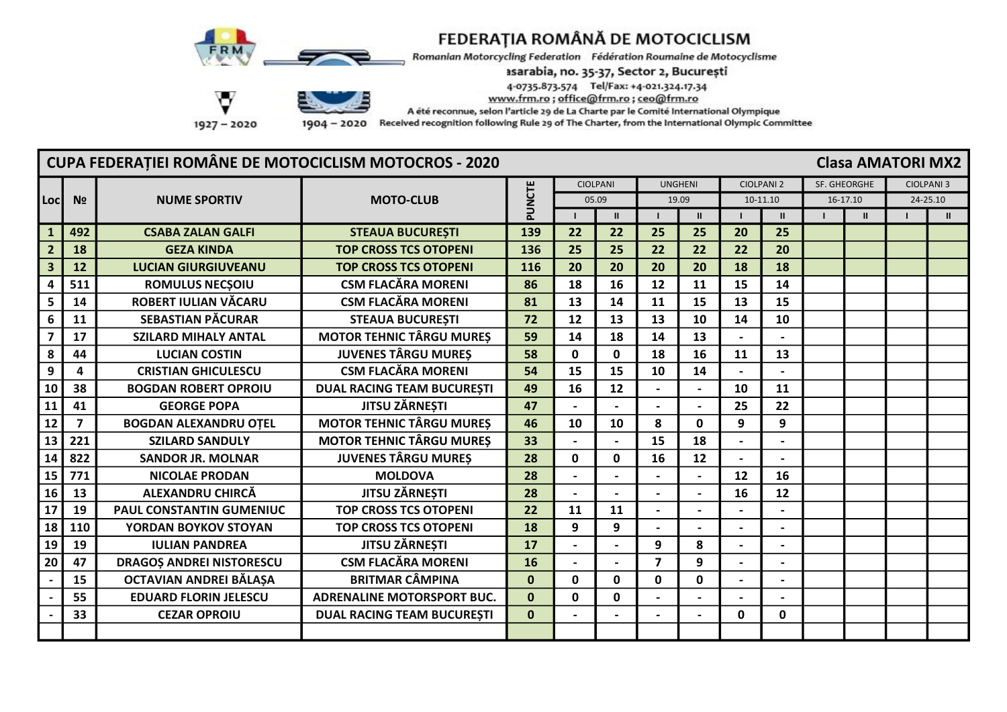

Romanian Motorcycling Federation Fédération Roumaine de Motocyclisme

asarabia, no. 35-37, Sector 2, București

4-0735.873.574 Tel/Fax: +4-021.324.17.34

www.frm.ro; office@frm.ro; ceo@frm.ro

A été reconnue, selon l'article 29 de La Charte par le Comité International Olympique

- 2020 Received recognition following Rule 29 of The Charter, from the International Olympic Committee

### **CUPA FEDERATIEI ROMÂNE DE MOTOCICLISM MOTOCROS - 2020 Clasa AMATORI MX2 CIOLPANI UNGHENI CIOLPANI 2** SF. GHEORGHE **CIOLPANI 3** PUNCTE  $05.09$  $19.09$  $10-11.10$  $16-17.10$  $74 - 25.10$ **Locl**  $N<sub>2</sub>$ **NUME SPORTIV MOTO-CLUB**  $\mathbf{u}$  $\mathbf{u}$  $\mathbf{u}$  $\mathbf{u}$  $\mathbf{u}$  $\blacksquare$  $\blacksquare$  $\mathbf{I}$  $\blacksquare$  $\blacksquare$  $\mathbf{1}$ 492 **CSABA ZALAN GALFI STEAUA BUCURESTI** 139  $22$  $22$ 25 25  $20$ 25  $\overline{2}$ **18 GEZA KINDA TOP CROSS TCS OTOPENI** 136 25 25  $22$  $22$  $22$ 20  $\overline{3}$ 20 20 18 18  $12$ **TOP CROSS TCS OTOPENI** 116 20 20 **LUCIAN GIURGIUVEANU** 511 **ROMULUS NECSOIU CSM FLACĂRA MORENI** 18 16  $12$ 15  $14$  $\overline{\mathbf{A}}$ 86  $11$ ROBERT IULIAN VĂCARU **CSM FLACĂRA MORENI** 15 13 5 81 13 14 15 14 11 6 **SFRASTIAN PĂCURAR** 11 **STEAUA BUCURESTI** 72  $12$ 13 13  $10$  $14$  $10$  $\overline{7}$ 17 **S7ILARD MIHALY ANTAL MOTOR TEHNIC TÂRGU MURES** 59  $14$ 18  $14$  $13$  $\mathbf{r}$  $\overline{a}$ 8 44 **JUVENES TÂRGU MURES** 58  $\Omega$  $\Omega$ 18 16 11 13 **LUCIAN COSTIN**  $\overline{9}$ **CSM FLACĂRA MORENI** 54 15  $\overline{\mathbf{A}}$ **CRISTIAN GHICULESCU 15** 10 14  $\overline{a}$  $\sim$ 10 38 **BOGDAN ROBERT OPROIU DUAL RACING TEAM BUCURESTI** 49 16 12 10 11  $\sim$  $\blacksquare$ 11 41 **GEORGE POPA JITSU ZĂRNESTI** 47  $\mathbf{r}$  $\mathbf{r}$ 25  $22$  $\overline{\phantom{a}}$  $\mathbf{r}$  $12$  $\overline{7}$ **MOTOR TEHNIC TÂRGU MURES** 46  $\mathbf{q}$  $\overline{9}$ **BOGDAN ALEXANDRU OTEL** 10  $10$ 8  $\Omega$ **SZILARD SANDULY MOTOR TEHNIC TÂRGU MURES** 13 221 33 15 18  $\overline{\phantom{a}}$  $\overline{a}$  $\blacksquare$  $\blacksquare$ 822 28 16 14 **JUVENES TÂRGU MURES**  $\Omega$  $\Omega$  $12$ **SANDOR JR. MOLNAR**  $\sim$  $\overline{a}$  $\overline{771}$ 15 **NICOLAE PRODAN MOLDOVA** 28  $12$ 16  $\overline{a}$  $\sim$  $\sim$  $\overline{a}$ **16** 13 ALEXANDRU CHIRCĂ **JITSU ZĂRNESTI** 28 16 12  $\overline{\phantom{a}}$ 17 19 **PAUL CONSTANTIN GUMENIUC TOP CROSS TCS OTOPENI**  $22$ 11 11  $\sim$  $\mathbb{L}$  $\mathbb{L}$  $\blacksquare$ 18 110 YORDAN BOYKOV STOYAN **TOP CROSS TCS OTOPENI** 18  $\mathbf{q}$  $\mathbf{q}$  $\mathbf{r}$  $\sim$  $\mathbf{r}$  $\overline{a}$ **JITSU ZĂRNESTI** 19 19 **IULIAN PANDREA**  $17$ 9 8  $\blacksquare$  $\overline{\phantom{a}}$  $\overline{\phantom{a}}$  $\overline{\phantom{a}}$  $\mathbf{q}$ 20 47 **DRAGOS ANDREI NISTORESCU CSM FLACĂRA MORENI** 16  $\overline{7}$  $\overline{a}$  $\overline{a}$  $\mathbf{r}$  $\overline{a}$ OCTAVIAN ANDREI BĂLAȘA 15 **BRITMAR CÂMPINA**  $\mathbf{0}$  $\mathbf{0}$  $\mathbf{0}$  $\mathbf{0}$  $\mathbf{0}$  $\blacksquare$  $\blacksquare$ 55 **EDUARD FLORIN JELESCU**  $\Omega$  $\Omega$ **ADRENALINE MOTORSPORT BUC.**  $\Omega$  $\overline{a}$  $\overline{a}$ 33 **DUAL RACING TEAM BUCURESTI**  $\mathbf{0}$  $\mathbf 0$  $\mathbf 0$ **CEZAR OPROIU**  $\overline{a}$  $\mathbf{r}$  $\mathbf{r}$  $\sim$

 $1927 - 2020$